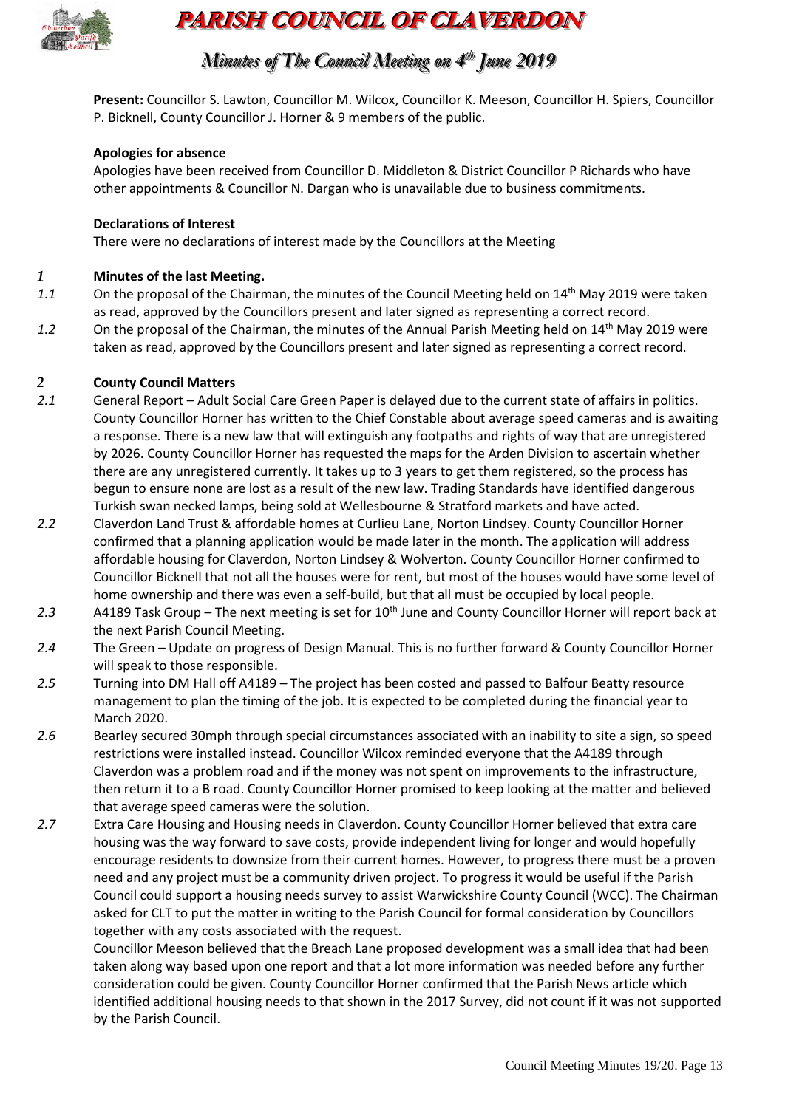

# **PARISH COUNCIL OF CLAVERDON**

## *Minutes of The Council Meeting on 4 t thh June 2019*

**Present:** Councillor S. Lawton, Councillor M. Wilcox, Councillor K. Meeson, Councillor H. Spiers, Councillor P. Bicknell, County Councillor J. Horner & 9 members of the public.

#### **Apologies for absence**

Apologies have been received from Councillor D. Middleton & District Councillor P Richards who have other appointments & Councillor N. Dargan who is unavailable due to business commitments.

#### **Declarations of Interest**

There were no declarations of interest made by the Councillors at the Meeting

#### *1* **Minutes of the last Meeting.**

- 1.1 On the proposal of the Chairman, the minutes of the Council Meeting held on 14<sup>th</sup> May 2019 were taken as read, approved by the Councillors present and later signed as representing a correct record.
- 1.2 On the proposal of the Chairman, the minutes of the Annual Parish Meeting held on 14<sup>th</sup> May 2019 were taken as read, approved by the Councillors present and later signed as representing a correct record.

#### *2* **County Council Matters**

- *2.1* General Report Adult Social Care Green Paper is delayed due to the current state of affairs in politics. County Councillor Horner has written to the Chief Constable about average speed cameras and is awaiting a response. There is a new law that will extinguish any footpaths and rights of way that are unregistered by 2026. County Councillor Horner has requested the maps for the Arden Division to ascertain whether there are any unregistered currently. It takes up to 3 years to get them registered, so the process has begun to ensure none are lost as a result of the new law. Trading Standards have identified dangerous Turkish swan necked lamps, being sold at Wellesbourne & Stratford markets and have acted.
- *2.2* Claverdon Land Trust & affordable homes at Curlieu Lane, Norton Lindsey. County Councillor Horner confirmed that a planning application would be made later in the month. The application will address affordable housing for Claverdon, Norton Lindsey & Wolverton. County Councillor Horner confirmed to Councillor Bicknell that not all the houses were for rent, but most of the houses would have some level of home ownership and there was even a self-build, but that all must be occupied by local people.
- 2.3 A4189 Task Group The next meeting is set for 10<sup>th</sup> June and County Councillor Horner will report back at the next Parish Council Meeting.
- *2.4* The Green Update on progress of Design Manual. This is no further forward & County Councillor Horner will speak to those responsible.
- *2.5* Turning into DM Hall off A4189 The project has been costed and passed to Balfour Beatty resource management to plan the timing of the job. It is expected to be completed during the financial year to March 2020.
- *2.6* Bearley secured 30mph through special circumstances associated with an inability to site a sign, so speed restrictions were installed instead. Councillor Wilcox reminded everyone that the A4189 through Claverdon was a problem road and if the money was not spent on improvements to the infrastructure, then return it to a B road. County Councillor Horner promised to keep looking at the matter and believed that average speed cameras were the solution.
- *2.7* Extra Care Housing and Housing needs in Claverdon. County Councillor Horner believed that extra care housing was the way forward to save costs, provide independent living for longer and would hopefully encourage residents to downsize from their current homes. However, to progress there must be a proven need and any project must be a community driven project. To progress it would be useful if the Parish Council could support a housing needs survey to assist Warwickshire County Council (WCC). The Chairman asked for CLT to put the matter in writing to the Parish Council for formal consideration by Councillors together with any costs associated with the request.

Councillor Meeson believed that the Breach Lane proposed development was a small idea that had been taken along way based upon one report and that a lot more information was needed before any further consideration could be given. County Councillor Horner confirmed that the Parish News article which identified additional housing needs to that shown in the 2017 Survey, did not count if it was not supported by the Parish Council.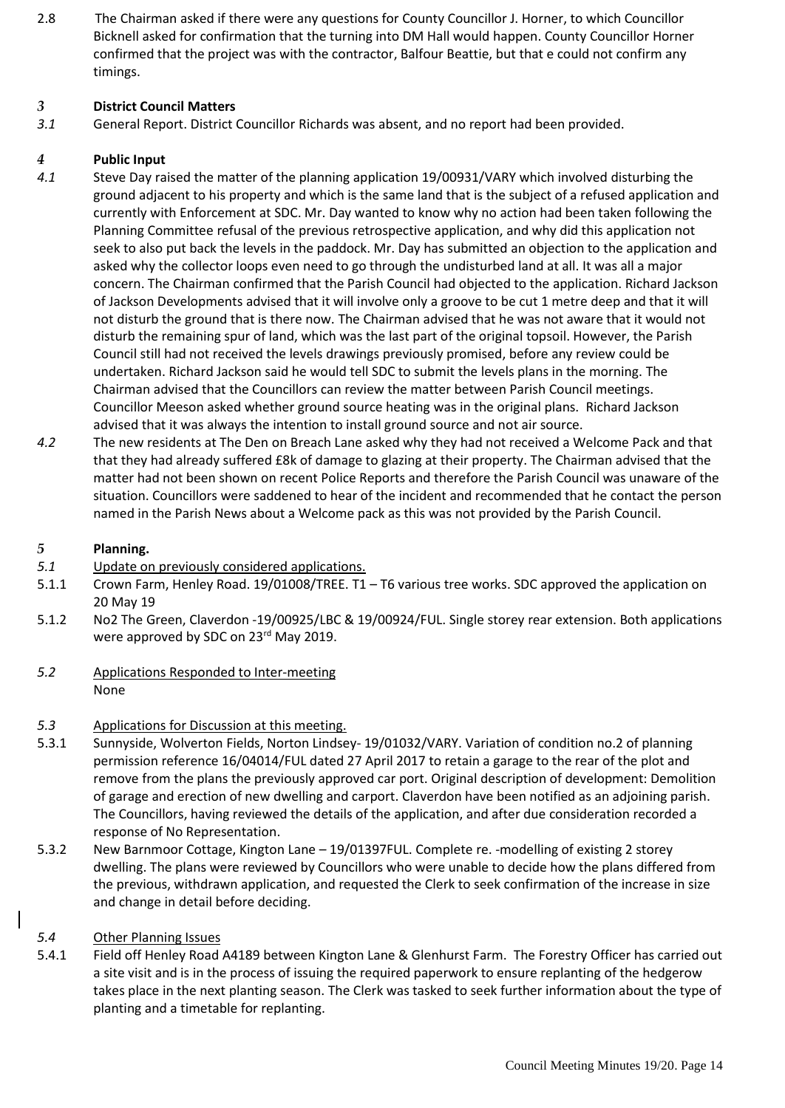2.8 The Chairman asked if there were any questions for County Councillor J. Horner, to which Councillor Bicknell asked for confirmation that the turning into DM Hall would happen. County Councillor Horner confirmed that the project was with the contractor, Balfour Beattie, but that e could not confirm any timings.

#### *3* **District Council Matters**

*3.1* General Report. District Councillor Richards was absent, and no report had been provided.

#### *4* **Public Input**

- *4.1* Steve Day raised the matter of the planning application 19/00931/VARY which involved disturbing the ground adjacent to his property and which is the same land that is the subject of a refused application and currently with Enforcement at SDC. Mr. Day wanted to know why no action had been taken following the Planning Committee refusal of the previous retrospective application, and why did this application not seek to also put back the levels in the paddock. Mr. Day has submitted an objection to the application and asked why the collector loops even need to go through the undisturbed land at all. It was all a major concern. The Chairman confirmed that the Parish Council had objected to the application. Richard Jackson of Jackson Developments advised that it will involve only a groove to be cut 1 metre deep and that it will not disturb the ground that is there now. The Chairman advised that he was not aware that it would not disturb the remaining spur of land, which was the last part of the original topsoil. However, the Parish Council still had not received the levels drawings previously promised, before any review could be undertaken. Richard Jackson said he would tell SDC to submit the levels plans in the morning. The Chairman advised that the Councillors can review the matter between Parish Council meetings. Councillor Meeson asked whether ground source heating was in the original plans. Richard Jackson advised that it was always the intention to install ground source and not air source.
- *4.2* The new residents at The Den on Breach Lane asked why they had not received a Welcome Pack and that that they had already suffered £8k of damage to glazing at their property. The Chairman advised that the matter had not been shown on recent Police Reports and therefore the Parish Council was unaware of the situation. Councillors were saddened to hear of the incident and recommended that he contact the person named in the Parish News about a Welcome pack as this was not provided by the Parish Council.

#### *5* **Planning.**

- *5.1* Update on previously considered applications.
- 5.1.1 Crown Farm, Henley Road. 19/01008/TREE. T1 T6 various tree works. SDC approved the application on 20 May 19
- 5.1.2 No2 The Green, Claverdon -19/00925/LBC & 19/00924/FUL. Single storey rear extension. Both applications were approved by SDC on 23<sup>rd</sup> May 2019.
- *5.2* Applications Responded to Inter-meeting None
- *5.3* Applications for Discussion at this meeting.
- 5.3.1 Sunnyside, Wolverton Fields, Norton Lindsey- 19/01032/VARY. Variation of condition no.2 of planning permission reference 16/04014/FUL dated 27 April 2017 to retain a garage to the rear of the plot and remove from the plans the previously approved car port. Original description of development: Demolition of garage and erection of new dwelling and carport. Claverdon have been notified as an adjoining parish. The Councillors, having reviewed the details of the application, and after due consideration recorded a response of No Representation.
- 5.3.2 New Barnmoor Cottage, Kington Lane 19/01397FUL. Complete re. -modelling of existing 2 storey dwelling. The plans were reviewed by Councillors who were unable to decide how the plans differed from the previous, withdrawn application, and requested the Clerk to seek confirmation of the increase in size and change in detail before deciding.

#### *5.4* Other Planning Issues

5.4.1 Field off Henley Road A4189 between Kington Lane & Glenhurst Farm. The Forestry Officer has carried out a site visit and is in the process of issuing the required paperwork to ensure replanting of the hedgerow takes place in the next planting season. The Clerk was tasked to seek further information about the type of planting and a timetable for replanting.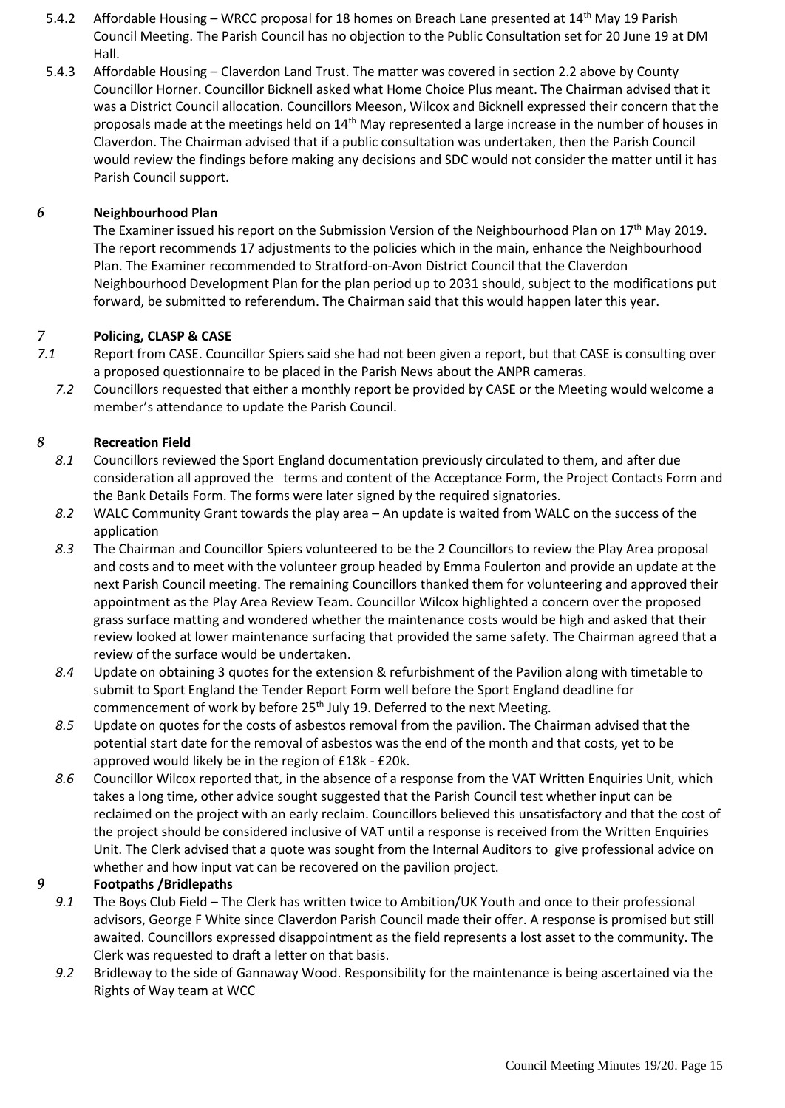- 5.4.2 Affordable Housing WRCC proposal for 18 homes on Breach Lane presented at 14<sup>th</sup> May 19 Parish Council Meeting. The Parish Council has no objection to the Public Consultation set for 20 June 19 at DM Hall.
- 5.4.3 Affordable Housing Claverdon Land Trust. The matter was covered in section 2.2 above by County Councillor Horner. Councillor Bicknell asked what Home Choice Plus meant. The Chairman advised that it was a District Council allocation. Councillors Meeson, Wilcox and Bicknell expressed their concern that the proposals made at the meetings held on 14th May represented a large increase in the number of houses in Claverdon. The Chairman advised that if a public consultation was undertaken, then the Parish Council would review the findings before making any decisions and SDC would not consider the matter until it has Parish Council support.

#### *6* **Neighbourhood Plan**

The Examiner issued his report on the Submission Version of the Neighbourhood Plan on 17<sup>th</sup> May 2019. The report recommends 17 adjustments to the policies which in the main, enhance the Neighbourhood Plan. The Examiner recommended to Stratford-on-Avon District Council that the Claverdon Neighbourhood Development Plan for the plan period up to 2031 should, subject to the modifications put forward, be submitted to referendum. The Chairman said that this would happen later this year.

#### *7* **Policing, CLASP & CASE**

- *7.1* Report from CASE. Councillor Spiers said she had not been given a report, but that CASE is consulting over a proposed questionnaire to be placed in the Parish News about the ANPR cameras.
	- *7.2* Councillors requested that either a monthly report be provided by CASE or the Meeting would welcome a member's attendance to update the Parish Council.

#### *8* **Recreation Field**

- *8.1* Councillors reviewed the Sport England documentation previously circulated to them, and after due consideration all approved the terms and content of the Acceptance Form, the Project Contacts Form and the Bank Details Form. The forms were later signed by the required signatories.
- *8.2* WALC Community Grant towards the play area An update is waited from WALC on the success of the application
- *8.3* The Chairman and Councillor Spiers volunteered to be the 2 Councillors to review the Play Area proposal and costs and to meet with the volunteer group headed by Emma Foulerton and provide an update at the next Parish Council meeting. The remaining Councillors thanked them for volunteering and approved their appointment as the Play Area Review Team. Councillor Wilcox highlighted a concern over the proposed grass surface matting and wondered whether the maintenance costs would be high and asked that their review looked at lower maintenance surfacing that provided the same safety. The Chairman agreed that a review of the surface would be undertaken.
- *8.4* Update on obtaining 3 quotes for the extension & refurbishment of the Pavilion along with timetable to submit to Sport England the Tender Report Form well before the Sport England deadline for commencement of work by before 25<sup>th</sup> July 19. Deferred to the next Meeting.
- *8.5* Update on quotes for the costs of asbestos removal from the pavilion. The Chairman advised that the potential start date for the removal of asbestos was the end of the month and that costs, yet to be approved would likely be in the region of £18k - £20k.
- *8.6* Councillor Wilcox reported that, in the absence of a response from the VAT Written Enquiries Unit, which takes a long time, other advice sought suggested that the Parish Council test whether input can be reclaimed on the project with an early reclaim. Councillors believed this unsatisfactory and that the cost of the project should be considered inclusive of VAT until a response is received from the Written Enquiries Unit. The Clerk advised that a quote was sought from the Internal Auditors to give professional advice on whether and how input vat can be recovered on the pavilion project.

#### *9* **Footpaths /Bridlepaths**

- *9.1* The Boys Club Field The Clerk has written twice to Ambition/UK Youth and once to their professional advisors, George F White since Claverdon Parish Council made their offer. A response is promised but still awaited. Councillors expressed disappointment as the field represents a lost asset to the community. The Clerk was requested to draft a letter on that basis.
- *9.2* Bridleway to the side of Gannaway Wood. Responsibility for the maintenance is being ascertained via the Rights of Way team at WCC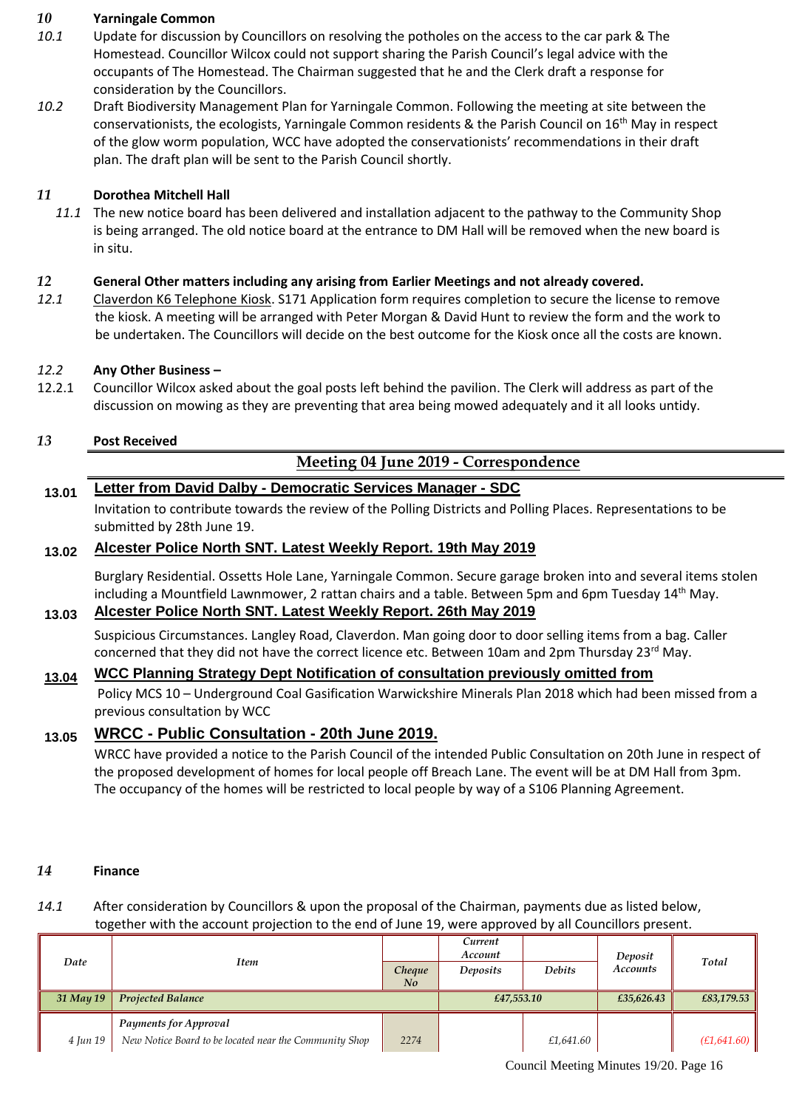#### *10* **Yarningale Common**

- *10.1* Update for discussion by Councillors on resolving the potholes on the access to the car park & The Homestead. Councillor Wilcox could not support sharing the Parish Council's legal advice with the occupants of The Homestead. The Chairman suggested that he and the Clerk draft a response for consideration by the Councillors.
- *10.2* Draft Biodiversity Management Plan for Yarningale Common. Following the meeting at site between the conservationists, the ecologists, Yarningale Common residents & the Parish Council on  $16<sup>th</sup>$  May in respect of the glow worm population, WCC have adopted the conservationists' recommendations in their draft plan. The draft plan will be sent to the Parish Council shortly.

#### *11* **Dorothea Mitchell Hall**

*11.1* The new notice board has been delivered and installation adjacent to the pathway to the Community Shop is being arranged. The old notice board at the entrance to DM Hall will be removed when the new board is in situ.

#### *12* **General Other matters including any arising from Earlier Meetings and not already covered.**

*12.1* Claverdon K6 Telephone Kiosk. S171 Application form requires completion to secure the license to remove the kiosk. A meeting will be arranged with Peter Morgan & David Hunt to review the form and the work to be undertaken. The Councillors will decide on the best outcome for the Kiosk once all the costs are known.

## *12.2* **Any Other Business –**

12.2.1 Councillor Wilcox asked about the goal posts left behind the pavilion. The Clerk will address as part of the discussion on mowing as they are preventing that area being mowed adequately and it all looks untidy.

#### *13* **Post Received**

## **Meeting 04 June 2019 - Correspondence**

## **13.01 Letter from David Dalby - Democratic Services Manager - SDC**

Invitation to contribute towards the review of the Polling Districts and Polling Places. Representations to be submitted by 28th June 19.

#### **13.02 Alcester Police North SNT. Latest Weekly Report. 19th May 2019**

Burglary Residential. Ossetts Hole Lane, Yarningale Common. Secure garage broken into and several items stolen including a Mountfield Lawnmower, 2 rattan chairs and a table. Between 5pm and 6pm Tuesday  $14<sup>th</sup>$  May.

#### **13.03 Alcester Police North SNT. Latest Weekly Report. 26th May 2019**

Suspicious Circumstances. Langley Road, Claverdon. Man going door to door selling items from a bag. Caller concerned that they did not have the correct licence etc. Between 10am and 2pm Thursday  $23^{\text{rd}}$  May.

## **13.04 WCC Planning Strategy Dept Notification of consultation previously omitted from**

Policy MCS 10 – Underground Coal Gasification Warwickshire Minerals Plan 2018 which had been missed from a previous consultation by WCC

## **13.05 WRCC - Public Consultation - 20th June 2019.**

WRCC have provided a notice to the Parish Council of the intended Public Consultation on 20th June in respect of the proposed development of homes for local people off Breach Lane. The event will be at DM Hall from 3pm. The occupancy of the homes will be restricted to local people by way of a S106 Planning Agreement.

#### *14* **Finance**

#### *14.1* After consideration by Councillors & upon the proposal of the Chairman, payments due as listed below, together with the account projection to the end of June 19, were approved by all Councillors present.

| Date      | Item                                                   |              | Current<br>Account |               | Deposit         | Total       |
|-----------|--------------------------------------------------------|--------------|--------------------|---------------|-----------------|-------------|
|           |                                                        | Cheque<br>No | <b>Deposits</b>    | <b>Debits</b> | <b>Accounts</b> |             |
| 31 May 19 | <b>Projected Balance</b>                               |              | £47,553.10         |               | £35,626.43      | £83,179.53  |
|           | <b>Payments for Approval</b>                           |              |                    |               |                 |             |
| 4 Jun 19  | New Notice Board to be located near the Community Shop | 2274         |                    | £1,641.60     |                 | (E1,641.60) |

Council Meeting Minutes 19/20. Page 16